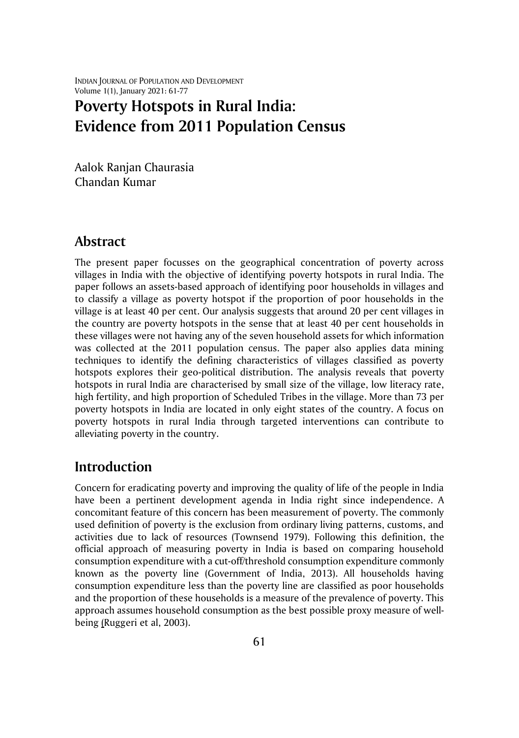INDIAN JOURNAL OF POPULATION AND DEVELOPMENT Volume 1(1), January 2021: 61-77

# **Poverty Hotspots in Rural India: Evidence from 2011 Population Census**

Aalok Ranjan Chaurasia Chandan Kumar

### **Abstract**

The present paper focusses on the geographical concentration of poverty across villages in India with the objective of identifying poverty hotspots in rural India. The paper follows an assets-based approach of identifying poor households in villages and to classify a village as poverty hotspot if the proportion of poor households in the village is at least 40 per cent. Our analysis suggests that around 20 per cent villages in the country are poverty hotspots in the sense that at least 40 per cent households in these villages were not having any of the seven household assets for which information was collected at the 2011 population census. The paper also applies data mining techniques to identify the defining characteristics of villages classified as poverty hotspots explores their geo-political distribution. The analysis reveals that poverty hotspots in rural India are characterised by small size of the village, low literacy rate, high fertility, and high proportion of Scheduled Tribes in the village. More than 73 per poverty hotspots in India are located in only eight states of the country. A focus on poverty hotspots in rural India through targeted interventions can contribute to alleviating poverty in the country.

# **Introduction**

Concern for eradicating poverty and improving the quality of life of the people in India have been a pertinent development agenda in India right since independence. A concomitant feature of this concern has been measurement of poverty. The commonly used definition of poverty is the exclusion from ordinary living patterns, customs, and activities due to lack of resources (Townsend 1979). Following this definition, the official approach of measuring poverty in India is based on comparing household consumption expenditure with a cut-off/threshold consumption expenditure commonly known as the poverty line (Government of India, 2013). All households having consumption expenditure less than the poverty line are classified as poor households and the proportion of these households is a measure of the prevalence of poverty. This approach assumes household consumption as the best possible proxy measure of wellbeing [\(Ruggeri](http://inesad.edu.bo/developmentroast/2007/02/the-monetary-approach-to-poverty-strengths-and-weaknesses/#footnote) et al, 2003).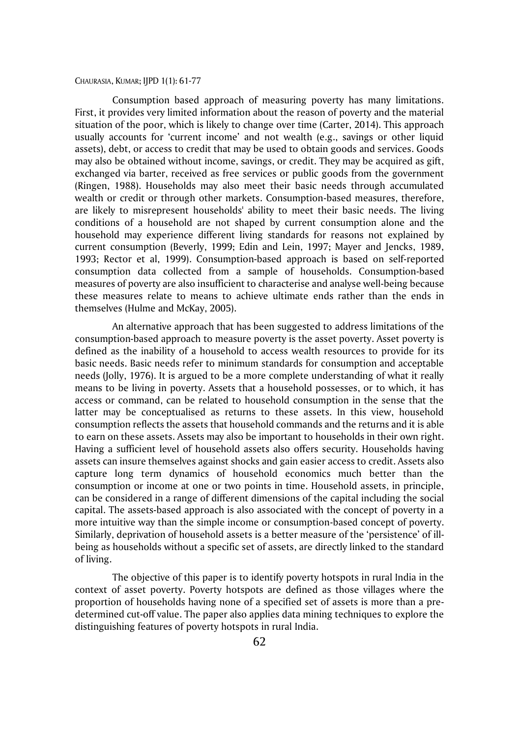Consumption based approach of measuring poverty has many limitations. First, it provides very limited information about the reason of poverty and the material situation of the poor, which is likely to change over time (Carter, 2014). This approach usually accounts for 'current income' and not wealth (e.g., savings or other liquid assets), debt, or access to credit that may be used to obtain goods and services. Goods may also be obtained without income, savings, or credit. They may be acquired as gift, exchanged via barter, received as free services or public goods from the government (Ringen, 1988). Households may also meet their basic needs through accumulated wealth or credit or through other markets. Consumption-based measures, therefore, are likely to misrepresent households' ability to meet their basic needs. The living conditions of a household are not shaped by current consumption alone and the household may experience different living standards for reasons not explained by current consumption (Beverly, 1999; Edin and Lein, 1997; Mayer and Jencks, 1989, 1993; Rector et al, 1999). Consumption-based approach is based on self-reported consumption data collected from a sample of households. Consumption-based measures of poverty are also insufficient to characterise and analyse well-being because these measures relate to means to achieve ultimate ends rather than the ends in themselves (Hulme and McKay, 2005).

An alternative approach that has been suggested to address limitations of the consumption-based approach to measure poverty is the asset poverty. Asset poverty is defined as the inability of a household to access wealth resources to provide for its basic needs. Basic needs refer to minimum standards for consumption and acceptable needs (Jolly, 1976). It is argued to be a more complete understanding of what it really means to be living in poverty. Assets that a household possesses, or to which, it has access or command, can be related to household consumption in the sense that the latter may be conceptualised as returns to these assets. In this view, household consumption reflects the assets that household commands and the returns and it is able to earn on these assets. Assets may also be important to households in their own right. Having a sufficient level of household assets also offers security. Households having assets can insure themselves against shocks and gain easier access to credit. Assets also capture long term dynamics of household economics much better than the consumption or income at one or two points in time. Household assets, in principle, can be considered in a range of different dimensions of the capital including the social capital. The assets-based approach is also associated with the concept of poverty in a more intuitive way than the simple income or consumption-based concept of poverty. Similarly, deprivation of household assets is a better measure of the 'persistence' of illbeing as households without a specific set of assets, are directly linked to the standard of living.

The objective of this paper is to identify poverty hotspots in rural India in the context of asset poverty. Poverty hotspots are defined as those villages where the proportion of households having none of a specified set of assets is more than a predetermined cut-off value. The paper also applies data mining techniques to explore the distinguishing features of poverty hotspots in rural India.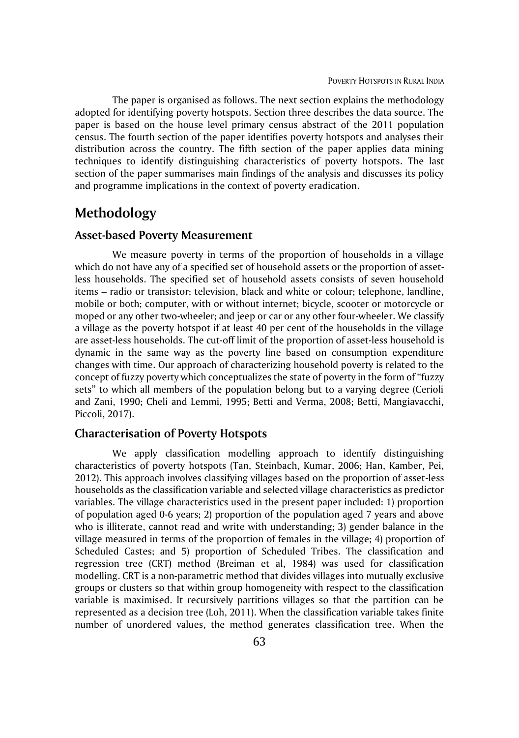The paper is organised as follows. The next section explains the methodology adopted for identifying poverty hotspots. Section three describes the data source. The paper is based on the house level primary census abstract of the 2011 population census. The fourth section of the paper identifies poverty hotspots and analyses their distribution across the country. The fifth section of the paper applies data mining techniques to identify distinguishing characteristics of poverty hotspots. The last section of the paper summarises main findings of the analysis and discusses its policy and programme implications in the context of poverty eradication.

# **Methodology**

#### **Asset-based Poverty Measurement**

We measure poverty in terms of the proportion of households in a village which do not have any of a specified set of household assets or the proportion of assetless households. The specified set of household assets consists of seven household items – radio or transistor; television, black and white or colour; telephone, landline, mobile or both; computer, with or without internet; bicycle, scooter or motorcycle or moped or any other two-wheeler; and jeep or car or any other four-wheeler. We classify a village as the poverty hotspot if at least 40 per cent of the households in the village are asset-less households. The cut-off limit of the proportion of asset-less household is dynamic in the same way as the poverty line based on consumption expenditure changes with time. Our approach of characterizing household poverty is related to the concept of fuzzy poverty which conceptualizes the state of poverty in the form of "fuzzy sets" to which all members of the population belong but to a varying degree (Cerioli and Zani, 1990; Cheli and Lemmi, 1995; Betti and Verma, 2008; Betti, Mangiavacchi, Piccoli, 2017).

### **Characterisation of Poverty Hotspots**

We apply classification modelling approach to identify distinguishing characteristics of poverty hotspots (Tan, Steinbach, Kumar, 2006; Han, Kamber, Pei, 2012). This approach involves classifying villages based on the proportion of asset-less households as the classification variable and selected village characteristics as predictor variables. The village characteristics used in the present paper included: 1) proportion of population aged 0-6 years; 2) proportion of the population aged 7 years and above who is illiterate, cannot read and write with understanding; 3) gender balance in the village measured in terms of the proportion of females in the village; 4) proportion of Scheduled Castes; and 5) proportion of Scheduled Tribes. The classification and regression tree (CRT) method (Breiman et al, 1984) was used for classification modelling. CRT is a non-parametric method that divides villages into mutually exclusive groups or clusters so that within group homogeneity with respect to the classification variable is maximised. It recursively partitions villages so that the partition can be represented as a decision tree (Loh, 2011). When the classification variable takes finite number of unordered values, the method generates classification tree. When the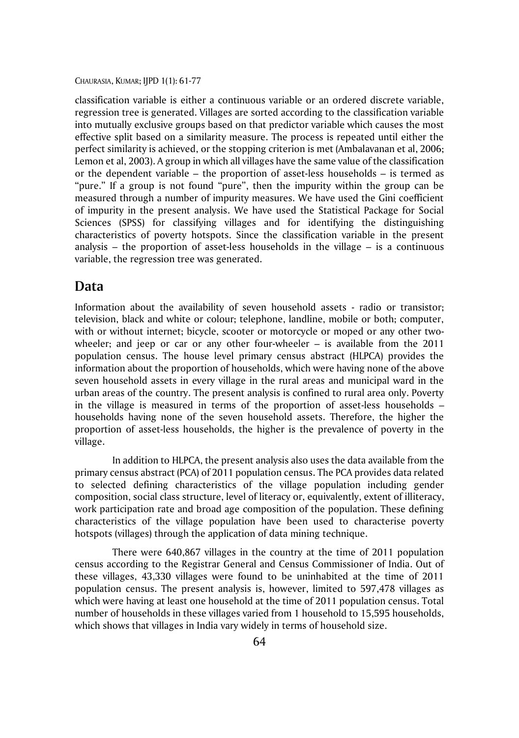classification variable is either a continuous variable or an ordered discrete variable, regression tree is generated. Villages are sorted according to the classification variable into mutually exclusive groups based on that predictor variable which causes the most effective split based on a similarity measure. The process is repeated until either the perfect similarity is achieved, or the stopping criterion is met (Ambalavanan et al, 2006; Lemon et al, 2003). A group in which all villages have the same value of the classification or the dependent variable – the proportion of asset-less households – is termed as "pure." If a group is not found "pure", then the impurity within the group can be measured through a number of impurity measures. We have used the Gini coefficient of impurity in the present analysis. We have used the Statistical Package for Social Sciences (SPSS) for classifying villages and for identifying the distinguishing characteristics of poverty hotspots. Since the classification variable in the present analysis – the proportion of asset-less households in the village  $-$  is a continuous variable, the regression tree was generated.

### **Data**

Information about the availability of seven household assets - radio or transistor; television, black and white or colour; telephone, landline, mobile or both; computer, with or without internet; bicycle, scooter or motorcycle or moped or any other twowheeler; and jeep or car or any other four-wheeler  $-$  is available from the 2011 population census. The house level primary census abstract (HLPCA) provides the information about the proportion of households, which were having none of the above seven household assets in every village in the rural areas and municipal ward in the urban areas of the country. The present analysis is confined to rural area only. Poverty in the village is measured in terms of the proportion of asset-less households – households having none of the seven household assets. Therefore, the higher the proportion of asset-less households, the higher is the prevalence of poverty in the village.

In addition to HLPCA, the present analysis also uses the data available from the primary census abstract (PCA) of 2011 population census. The PCA provides data related to selected defining characteristics of the village population including gender composition, social class structure, level of literacy or, equivalently, extent of illiteracy, work participation rate and broad age composition of the population. These defining characteristics of the village population have been used to characterise poverty hotspots (villages) through the application of data mining technique.

There were 640,867 villages in the country at the time of 2011 population census according to the Registrar General and Census Commissioner of India. Out of these villages, 43,330 villages were found to be uninhabited at the time of 2011 population census. The present analysis is, however, limited to 597,478 villages as which were having at least one household at the time of 2011 population census. Total number of households in these villages varied from 1 household to 15,595 households, which shows that villages in India vary widely in terms of household size.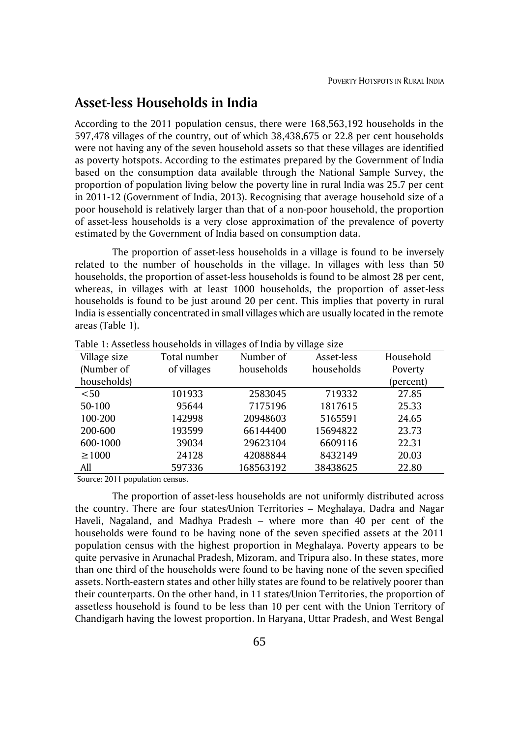### **Asset-less Households in India**

According to the 2011 population census, there were 168,563,192 households in the 597,478 villages of the country, out of which 38,438,675 or 22.8 per cent households were not having any of the seven household assets so that these villages are identified as poverty hotspots. According to the estimates prepared by the Government of India based on the consumption data available through the National Sample Survey, the proportion of population living below the poverty line in rural India was 25.7 per cent in 2011-12 (Government of India, 2013). Recognising that average household size of a poor household is relatively larger than that of a non-poor household, the proportion of asset-less households is a very close approximation of the prevalence of poverty estimated by the Government of India based on consumption data.

The proportion of asset-less households in a village is found to be inversely related to the number of households in the village. In villages with less than 50 households, the proportion of asset-less households is found to be almost 28 per cent, whereas, in villages with at least 1000 households, the proportion of asset-less households is found to be just around 20 per cent. This implies that poverty in rural India is essentially concentrated in small villages which are usually located in the remote areas (Table 1).

| rapic 1.7 issences nouscholds in vinages or maid by vinage size |              |            |            |           |  |  |  |  |
|-----------------------------------------------------------------|--------------|------------|------------|-----------|--|--|--|--|
| Village size                                                    | Total number | Number of  | Asset-less | Household |  |  |  |  |
| (Number of                                                      | of villages  | households | households | Poverty   |  |  |  |  |
| households)                                                     |              |            |            | (percent) |  |  |  |  |
| < 50                                                            | 101933       | 2583045    | 719332     | 27.85     |  |  |  |  |
| 50-100                                                          | 95644        | 7175196    | 1817615    | 25.33     |  |  |  |  |
| 100-200                                                         | 142998       | 20948603   | 5165591    | 24.65     |  |  |  |  |
| 200-600                                                         | 193599       | 66144400   | 15694822   | 23.73     |  |  |  |  |
| 600-1000                                                        | 39034        | 29623104   | 6609116    | 22.31     |  |  |  |  |
| $\geq 1000$                                                     | 24128        | 42088844   | 8432149    | 20.03     |  |  |  |  |
| All                                                             | 597336       | 168563192  | 38438625   | 22.80     |  |  |  |  |

Table 1: Assetless households in villages of India by village size

Source: 2011 population census.

The proportion of asset-less households are not uniformly distributed across the country. There are four states/Union Territories – Meghalaya, Dadra and Nagar Haveli, Nagaland, and Madhya Pradesh – where more than 40 per cent of the households were found to be having none of the seven specified assets at the 2011 population census with the highest proportion in Meghalaya. Poverty appears to be quite pervasive in Arunachal Pradesh, Mizoram, and Tripura also. In these states, more than one third of the households were found to be having none of the seven specified assets. North-eastern states and other hilly states are found to be relatively poorer than their counterparts. On the other hand, in 11 states/Union Territories, the proportion of assetless household is found to be less than 10 per cent with the Union Territory of Chandigarh having the lowest proportion. In Haryana, Uttar Pradesh, and West Bengal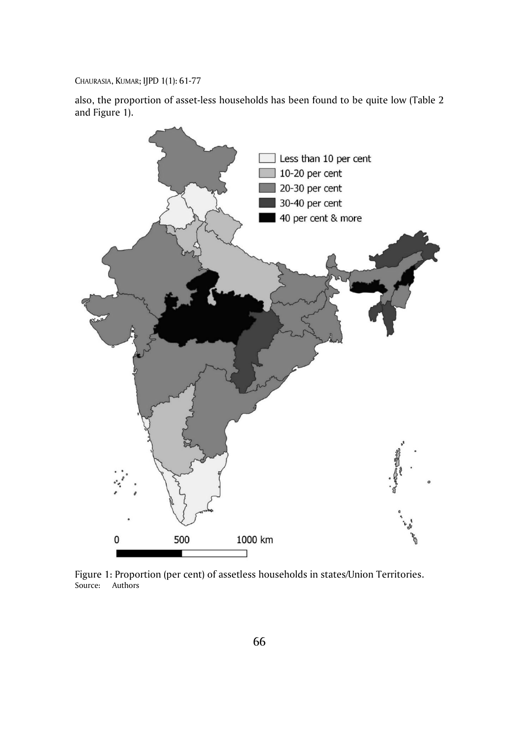also, the proportion of asset-less households has been found to be quite low (Table 2 and Figure 1).



Figure 1: Proportion (per cent) of assetless households in states/Union Territories. Source: Authors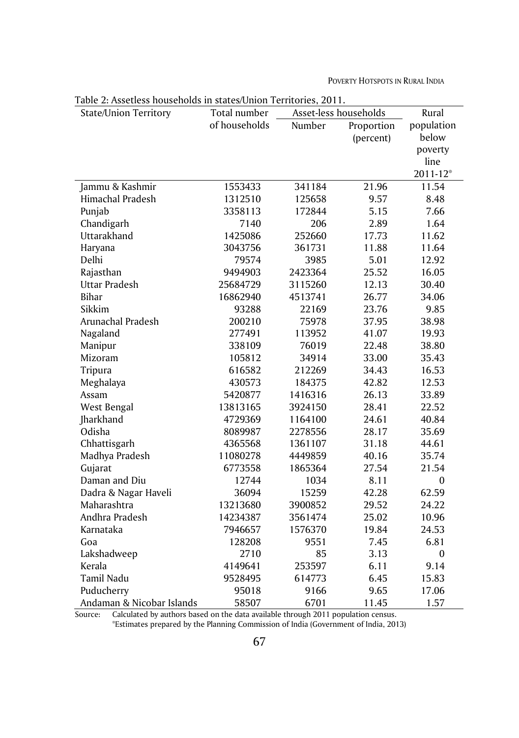POVERTY HOTSPOTS IN RURAL INDIA

| Table 2: Assettess households in states/Union Territories, 2011. | Asset-less households         |               |            |                     |
|------------------------------------------------------------------|-------------------------------|---------------|------------|---------------------|
| <b>State/Union Territory</b>                                     | Total number<br>of households | Number        |            | Rural<br>population |
|                                                                  |                               |               | Proportion | below               |
|                                                                  |                               |               | (percent)  |                     |
|                                                                  |                               |               |            | poverty<br>line     |
|                                                                  |                               |               |            | 2011-12*            |
| Jammu & Kashmir                                                  | 1553433                       | 341184        | 21.96      |                     |
| Himachal Pradesh                                                 |                               |               |            | 11.54               |
|                                                                  | 1312510                       | 125658        | 9.57       | 8.48                |
| Punjab                                                           | 3358113                       | 172844        | 5.15       | 7.66                |
| Chandigarh<br>Uttarakhand                                        | 7140<br>1425086               | 206<br>252660 | 2.89       | 1.64                |
|                                                                  |                               |               | 17.73      | 11.62               |
| Haryana                                                          | 3043756                       | 361731        | 11.88      | 11.64               |
| Delhi                                                            | 79574                         | 3985          | 5.01       | 12.92               |
| Rajasthan                                                        | 9494903                       | 2423364       | 25.52      | 16.05               |
| Uttar Pradesh                                                    | 25684729                      | 3115260       | 12.13      | 30.40               |
| <b>Bihar</b>                                                     | 16862940                      | 4513741       | 26.77      | 34.06               |
| Sikkim                                                           | 93288                         | 22169         | 23.76      | 9.85                |
| Arunachal Pradesh                                                | 200210                        | 75978         | 37.95      | 38.98               |
| Nagaland                                                         | 277491                        | 113952        | 41.07      | 19.93               |
| Manipur                                                          | 338109                        | 76019         | 22.48      | 38.80               |
| Mizoram                                                          | 105812                        | 34914         | 33.00      | 35.43               |
| Tripura                                                          | 616582                        | 212269        | 34.43      | 16.53               |
| Meghalaya                                                        | 430573                        | 184375        | 42.82      | 12.53               |
| Assam                                                            | 5420877                       | 1416316       | 26.13      | 33.89               |
| West Bengal                                                      | 13813165                      | 3924150       | 28.41      | 22.52               |
| Jharkhand                                                        | 4729369                       | 1164100       | 24.61      | 40.84               |
| Odisha                                                           | 8089987                       | 2278556       | 28.17      | 35.69               |
| Chhattisgarh                                                     | 4365568                       | 1361107       | 31.18      | 44.61               |
| Madhya Pradesh                                                   | 11080278                      | 4449859       | 40.16      | 35.74               |
| Gujarat                                                          | 6773558                       | 1865364       | 27.54      | 21.54               |
| Daman and Diu                                                    | 12744                         | 1034          | 8.11       | 0                   |
| Dadra & Nagar Haveli                                             | 36094                         | 15259         | 42.28      | 62.59               |
| Maharashtra                                                      | 13213680                      | 3900852       | 29.52      | 24.22               |
| Andhra Pradesh                                                   | 14234387                      | 3561474       | 25.02      | 10.96               |
| Karnataka                                                        | 7946657                       | 1576370       | 19.84      | 24.53               |
| Goa                                                              | 128208                        | 9551          | 7.45       | 6.81                |
| Lakshadweep                                                      | 2710                          | 85            | 3.13       | $\boldsymbol{0}$    |
| Kerala                                                           | 4149641                       | 253597        | 6.11       | 9.14                |
| Tamil Nadu                                                       | 9528495                       | 614773        | 6.45       | 15.83               |
| Puducherry                                                       | 95018                         | 9166          | 9.65       | 17.06               |
| Andaman & Nicobar Islands                                        | 58507                         | 6701          | 11.45      | 1.57                |

Table 2: Assetless households in states/Union Territories, 2011.

Source: Calculated by authors based on the data available through 2011 population census. \*Estimates prepared by the Planning Commission of India (Government of India, 2013)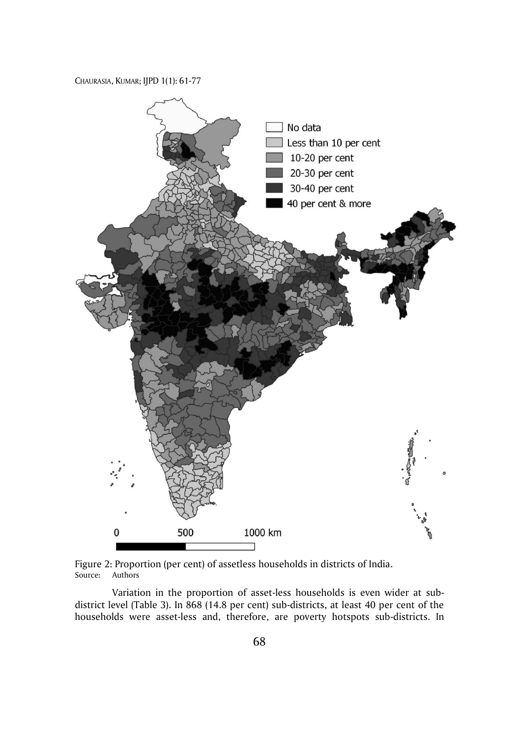

Figure 2: Proportion (per cent) of assetless households in districts of India. Source: Authors

Variation in the proportion of asset-less households is even wider at subdistrict level (Table 3). In 868 (14.8 per cent) sub-districts, at least 40 per cent of the households were asset-less and, therefore, are poverty hotspots sub-districts. In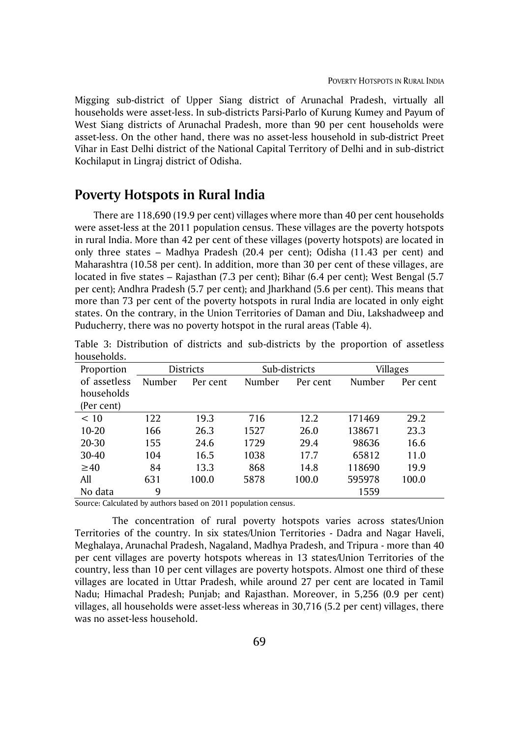Migging sub-district of Upper Siang district of Arunachal Pradesh, virtually all households were asset-less. In sub-districts Parsi-Parlo of Kurung Kumey and Payum of West Siang districts of Arunachal Pradesh, more than 90 per cent households were asset-less. On the other hand, there was no asset-less household in sub-district Preet Vihar in East Delhi district of the National Capital Territory of Delhi and in sub-district Kochilaput in Lingraj district of Odisha.

# **Poverty Hotspots in Rural India**

There are 118,690 (19.9 per cent) villages where more than 40 per cent households were asset-less at the 2011 population census. These villages are the poverty hotspots in rural India. More than 42 per cent of these villages (poverty hotspots) are located in only three states – Madhya Pradesh (20.4 per cent); Odisha (11.43 per cent) and Maharashtra (10.58 per cent). In addition, more than 30 per cent of these villages, are located in five states – Rajasthan (7.3 per cent); Bihar (6.4 per cent); West Bengal (5.7 per cent); Andhra Pradesh (5.7 per cent); and Jharkhand (5.6 per cent). This means that more than 73 per cent of the poverty hotspots in rural India are located in only eight states. On the contrary, in the Union Territories of Daman and Diu, Lakshadweep and Puducherry, there was no poverty hotspot in the rural areas (Table 4).

| Proportion   | <b>Districts</b> |          |        | Sub-districts      | Villages |          |
|--------------|------------------|----------|--------|--------------------|----------|----------|
| of assetless | Number           | Per cent | Number | Number<br>Per cent |          | Per cent |
| households   |                  |          |        |                    |          |          |
| (Per cent)   |                  |          |        |                    |          |          |
| < 10         | 122              | 19.3     | 716    | 12.2               | 171469   | 29.2     |
| $10 - 20$    | 166              | 26.3     | 1527   | 26.0               | 138671   | 23.3     |
| 20-30        | 155              | 24.6     | 1729   | 29.4               | 98636    | 16.6     |
| 30-40        | 104              | 16.5     | 1038   | 17.7               | 65812    | 11.0     |
| $\geq 40$    | 84               | 13.3     | 868    | 14.8               | 118690   | 19.9     |
| All          | 631              | 100.0    | 5878   | 100.0              | 595978   | 100.0    |
| No data      | 9                |          |        |                    | 1559     |          |

Table 3: Distribution of districts and sub-districts by the proportion of assetless households.

Source: Calculated by authors based on 2011 population census.

The concentration of rural poverty hotspots varies across states/Union Territories of the country. In six states/Union Territories - Dadra and Nagar Haveli, Meghalaya, Arunachal Pradesh, Nagaland, Madhya Pradesh, and Tripura - more than 40 per cent villages are poverty hotspots whereas in 13 states/Union Territories of the country, less than 10 per cent villages are poverty hotspots. Almost one third of these villages are located in Uttar Pradesh, while around 27 per cent are located in Tamil Nadu; Himachal Pradesh; Punjab; and Rajasthan. Moreover, in 5,256 (0.9 per cent) villages, all households were asset-less whereas in 30,716 (5.2 per cent) villages, there was no asset-less household.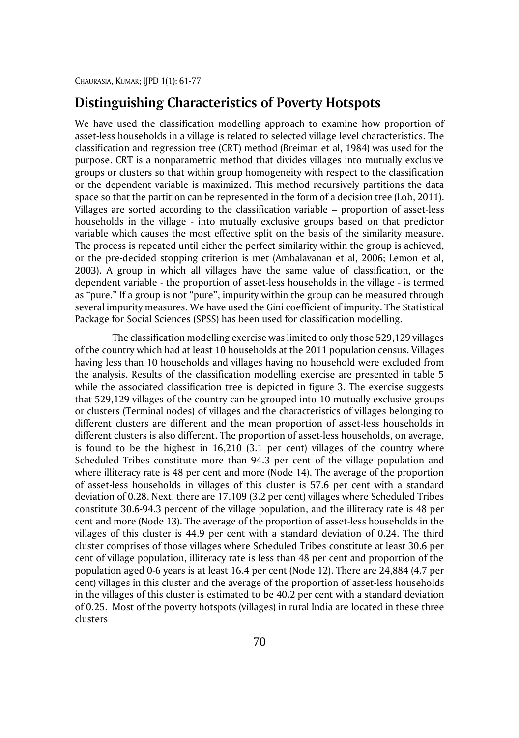# **Distinguishing Characteristics of Poverty Hotspots**

We have used the classification modelling approach to examine how proportion of asset-less households in a village is related to selected village level characteristics. The classification and regression tree (CRT) method (Breiman et al, 1984) was used for the purpose. CRT is a nonparametric method that divides villages into mutually exclusive groups or clusters so that within group homogeneity with respect to the classification or the dependent variable is maximized. This method recursively partitions the data space so that the partition can be represented in the form of a decision tree (Loh, 2011). Villages are sorted according to the classification variable – proportion of asset-less households in the village - into mutually exclusive groups based on that predictor variable which causes the most effective split on the basis of the similarity measure. The process is repeated until either the perfect similarity within the group is achieved, or the pre-decided stopping criterion is met (Ambalavanan et al, 2006; Lemon et al, 2003). A group in which all villages have the same value of classification, or the dependent variable - the proportion of asset-less households in the village - is termed as "pure." If a group is not "pure", impurity within the group can be measured through several impurity measures. We have used the Gini coefficient of impurity. The Statistical Package for Social Sciences (SPSS) has been used for classification modelling.

The classification modelling exercise was limited to only those 529,129 villages of the country which had at least 10 households at the 2011 population census. Villages having less than 10 households and villages having no household were excluded from the analysis. Results of the classification modelling exercise are presented in table 5 while the associated classification tree is depicted in figure 3. The exercise suggests that 529,129 villages of the country can be grouped into 10 mutually exclusive groups or clusters (Terminal nodes) of villages and the characteristics of villages belonging to different clusters are different and the mean proportion of asset-less households in different clusters is also different. The proportion of asset-less households, on average, is found to be the highest in 16,210 (3.1 per cent) villages of the country where Scheduled Tribes constitute more than 94.3 per cent of the village population and where illiteracy rate is 48 per cent and more (Node 14). The average of the proportion of asset-less households in villages of this cluster is 57.6 per cent with a standard deviation of 0.28. Next, there are 17,109 (3.2 per cent) villages where Scheduled Tribes constitute 30.6-94.3 percent of the village population, and the illiteracy rate is 48 per cent and more (Node 13). The average of the proportion of asset-less households in the villages of this cluster is 44.9 per cent with a standard deviation of 0.24. The third cluster comprises of those villages where Scheduled Tribes constitute at least 30.6 per cent of village population, illiteracy rate is less than 48 per cent and proportion of the population aged 0-6 years is at least 16.4 per cent (Node 12). There are 24,884 (4.7 per cent) villages in this cluster and the average of the proportion of asset-less households in the villages of this cluster is estimated to be 40.2 per cent with a standard deviation of 0.25. Most of the poverty hotspots (villages) in rural India are located in these three clusters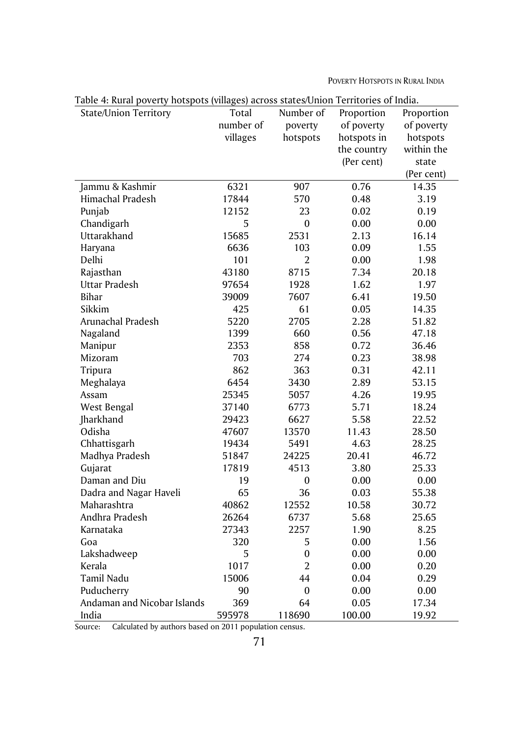POVERTY HOTSPOTS IN RURAL INDIA

| Table 4: Kural poverty hotspots (vinages) across states/Omon-Territories of mula.<br><b>State/Union Territory</b> | Total     | Number of        | Proportion  | Proportion |
|-------------------------------------------------------------------------------------------------------------------|-----------|------------------|-------------|------------|
|                                                                                                                   | number of | poverty          | of poverty  | of poverty |
|                                                                                                                   | villages  | hotspots         | hotspots in | hotspots   |
|                                                                                                                   |           |                  | the country | within the |
|                                                                                                                   |           |                  | (Per cent)  | state      |
|                                                                                                                   |           |                  |             | (Per cent) |
| Jammu & Kashmir                                                                                                   | 6321      | 907              | 0.76        | 14.35      |
| Himachal Pradesh                                                                                                  | 17844     | 570              | 0.48        | 3.19       |
| Punjab                                                                                                            | 12152     | 23               | 0.02        | 0.19       |
| Chandigarh                                                                                                        | 5         | $\boldsymbol{0}$ | 0.00        | 0.00       |
| Uttarakhand                                                                                                       | 15685     | 2531             | 2.13        | 16.14      |
| Haryana                                                                                                           | 6636      | 103              | 0.09        | 1.55       |
| Delhi                                                                                                             | 101       | $\overline{2}$   | 0.00        | 1.98       |
| Rajasthan                                                                                                         | 43180     | 8715             | 7.34        | 20.18      |
| Uttar Pradesh                                                                                                     | 97654     | 1928             | 1.62        | 1.97       |
| Bihar                                                                                                             | 39009     | 7607             | 6.41        | 19.50      |
| Sikkim                                                                                                            | 425       | 61               | 0.05        |            |
|                                                                                                                   |           | 2705             | 2.28        | 14.35      |
| Arunachal Pradesh                                                                                                 | 5220      |                  |             | 51.82      |
| Nagaland                                                                                                          | 1399      | 660              | 0.56        | 47.18      |
| Manipur                                                                                                           | 2353      | 858              | 0.72        | 36.46      |
| Mizoram                                                                                                           | 703       | 274              | 0.23        | 38.98      |
| Tripura                                                                                                           | 862       | 363              | 0.31        | 42.11      |
| Meghalaya                                                                                                         | 6454      | 3430             | 2.89        | 53.15      |
| Assam                                                                                                             | 25345     | 5057             | 4.26        | 19.95      |
| West Bengal                                                                                                       | 37140     | 6773             | 5.71        | 18.24      |
| Jharkhand                                                                                                         | 29423     | 6627             | 5.58        | 22.52      |
| Odisha                                                                                                            | 47607     | 13570            | 11.43       | 28.50      |
| Chhattisgarh                                                                                                      | 19434     | 5491             | 4.63        | 28.25      |
| Madhya Pradesh                                                                                                    | 51847     | 24225            | 20.41       | 46.72      |
| Gujarat                                                                                                           | 17819     | 4513             | 3.80        | 25.33      |
| Daman and Diu                                                                                                     | 19        | $\mathbf{0}$     | 0.00        | 0.00       |
| Dadra and Nagar Haveli                                                                                            | 65        | 36               | 0.03        | 55.38      |
| Maharashtra                                                                                                       | 40862     | 12552            | 10.58       | 30.72      |
| Andhra Pradesh                                                                                                    | 26264     | 6737             | 5.68        | 25.65      |
| Karnataka                                                                                                         | 27343     | 2257             | 1.90        | 8.25       |
| Goa                                                                                                               | 320       | 5                | 0.00        | 1.56       |
| Lakshadweep                                                                                                       | 5         | $\boldsymbol{0}$ | 0.00        | 0.00       |
| Kerala                                                                                                            | 1017      | $\overline{2}$   | 0.00        | 0.20       |
| Tamil Nadu                                                                                                        | 15006     | 44               | 0.04        | 0.29       |
| Puducherry                                                                                                        | 90        | $\mathbf{0}$     | 0.00        | 0.00       |
| Andaman and Nicobar Islands                                                                                       | 369       | 64               | 0.05        | 17.34      |
| India                                                                                                             | 595978    | 118690           | 100.00      | 19.92      |

Table 4: Rural poverty hotspots (villages) across states/Union Territories of India.

Source: Calculated by authors based on 2011 population census.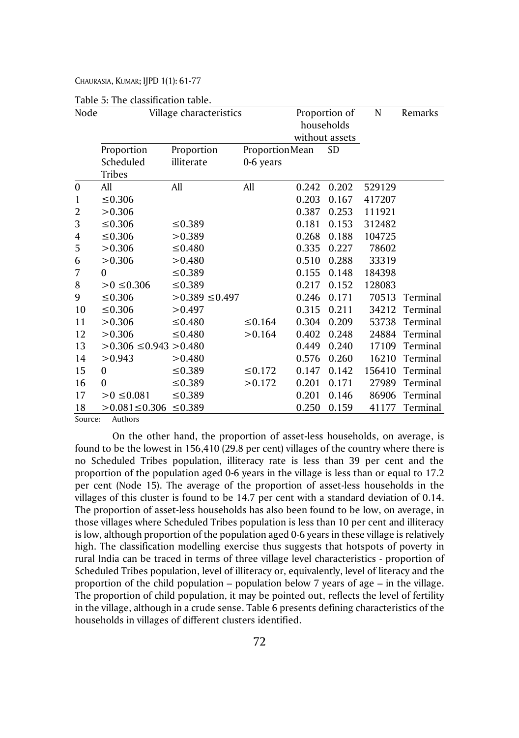|                  | rapic 5. The enassineation table. |                    |                |               |                |        |          |
|------------------|-----------------------------------|--------------------|----------------|---------------|----------------|--------|----------|
| Node             | Village characteristics           |                    |                | Proportion of |                | N      | Remarks  |
|                  |                                   |                    |                | households    |                |        |          |
|                  |                                   |                    |                |               | without assets |        |          |
|                  | Proportion                        | Proportion         | ProportionMean |               | <b>SD</b>      |        |          |
|                  | Scheduled                         | illiterate         | 0-6 years      |               |                |        |          |
|                  | <b>Tribes</b>                     |                    |                |               |                |        |          |
| $\boldsymbol{0}$ | All                               | All                | All            | 0.242         | 0.202          | 529129 |          |
| 1                | ≤ 0.306                           |                    |                | 0.203         | 0.167          | 417207 |          |
| $\overline{2}$   | >0.306                            |                    |                | 0.387         | 0.253          | 111921 |          |
| 3                | ≤ 0.306                           | ≤0.389             |                | 0.181         | 0.153          | 312482 |          |
| 4                | ≤ 0.306                           | >0.389             |                | 0.268         | 0.188          | 104725 |          |
| 5                | >0.306                            | ≤0.480             |                | 0.335         | 0.227          | 78602  |          |
| 6                | >0.306                            | > 0.480            |                | 0.510         | 0.288          | 33319  |          |
| 7                | $\Omega$                          | ≤0.389             |                | 0.155         | 0.148          | 184398 |          |
| 8                | $>0$ ≤0.306                       | ≤0.389             |                | 0.217         | 0.152          | 128083 |          |
| 9                | $\leq 0.306$                      | $>0.389 \le 0.497$ |                | 0.246         | 0.171          | 70513  | Terminal |
| 10               | ≤ 0.306                           | >0.497             |                | 0.315         | 0.211          | 34212  | Terminal |
| 11               | >0.306                            | ≤0.480             | ≤ 0.164        | 0.304         | 0.209          | 53738  | Terminal |
| 12               | >0.306                            | ≤0.480             | >0.164         | 0.402         | 0.248          | 24884  | Terminal |
| 13               | $>0.306 \le 0.943 > 0.480$        |                    |                | 0.449         | 0.240          | 17109  | Terminal |
| 14               | >0.943                            | >0.480             |                | 0.576         | 0.260          | 16210  | Terminal |
| 15               | 0                                 | ≤0.389             | $\leq 0.172$   | 0.147         | 0.142          | 156410 | Terminal |
| 16               | $\boldsymbol{0}$                  | ≤0.389             | >0.172         | 0.201         | 0.171          | 27989  | Terminal |
| 17               | $>0 \le 0.081$                    | ≤0.389             |                | 0.201         | 0.146          | 86906  | Terminal |
| 18               | >0.081≤0.306 ≤0.389               |                    |                | 0.250         | 0.159          | 41177  | Terminal |

|  |  | Table 5: The classification table. |  |
|--|--|------------------------------------|--|
|--|--|------------------------------------|--|

Source: Authors

On the other hand, the proportion of asset-less households, on average, is found to be the lowest in 156,410 (29.8 per cent) villages of the country where there is no Scheduled Tribes population, illiteracy rate is less than 39 per cent and the proportion of the population aged 0-6 years in the village is less than or equal to 17.2 per cent (Node 15). The average of the proportion of asset-less households in the villages of this cluster is found to be 14.7 per cent with a standard deviation of 0.14. The proportion of asset-less households has also been found to be low, on average, in those villages where Scheduled Tribes population is less than 10 per cent and illiteracy is low, although proportion of the population aged 0-6 years in these village is relatively high. The classification modelling exercise thus suggests that hotspots of poverty in rural India can be traced in terms of three village level characteristics - proportion of Scheduled Tribes population, level of illiteracy or, equivalently, level of literacy and the proportion of the child population – population below 7 years of age – in the village. The proportion of child population, it may be pointed out, reflects the level of fertility in the village, although in a crude sense. Table 6 presents defining characteristics of the households in villages of different clusters identified.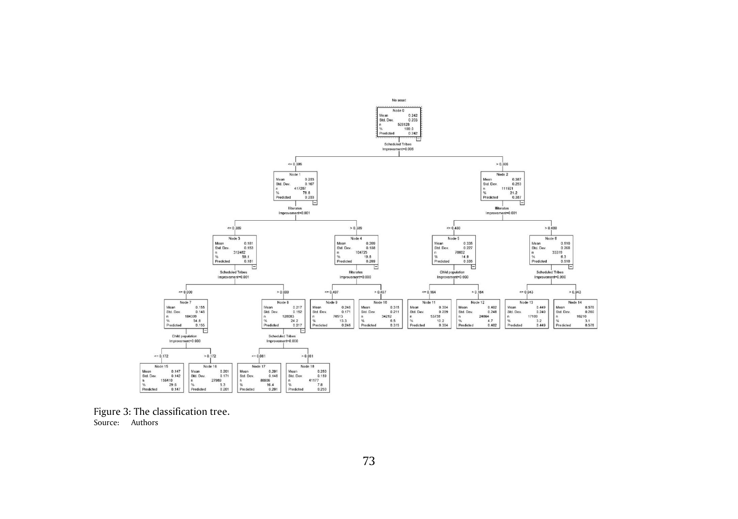

Figure 3: The classification tree. Source: Authors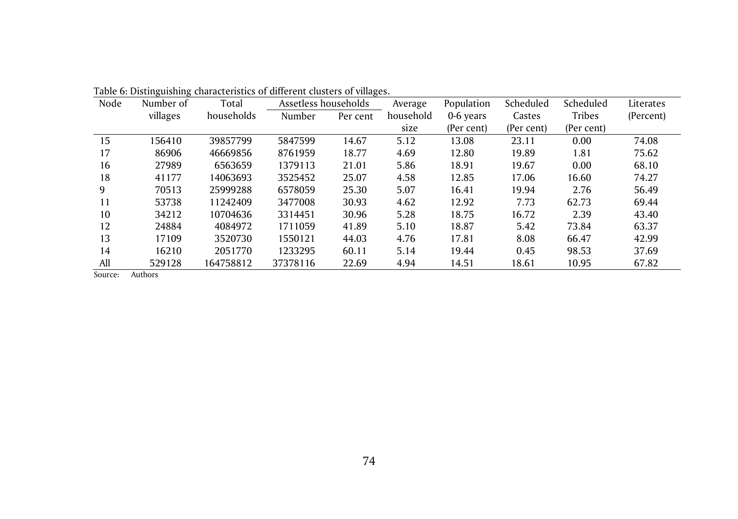| Node | Number of | Total      | Assetless households |          | Average   | Population | Scheduled  | Scheduled     | Literates |
|------|-----------|------------|----------------------|----------|-----------|------------|------------|---------------|-----------|
|      | villages  | households | Number               | Per cent | household | 0-6 years  | Castes     | <b>Tribes</b> | (Percent) |
|      |           |            |                      |          | size      | (Per cent) | (Per cent) | (Per cent)    |           |
| 15   | 156410    | 39857799   | 5847599              | 14.67    | 5.12      | 13.08      | 23.11      | 0.00          | 74.08     |
| 17   | 86906     | 46669856   | 8761959              | 18.77    | 4.69      | 12.80      | 19.89      | 1.81          | 75.62     |
| 16   | 27989     | 6563659    | 1379113              | 21.01    | 5.86      | 18.91      | 19.67      | 0.00          | 68.10     |
| 18   | 41177     | 14063693   | 3525452              | 25.07    | 4.58      | 12.85      | 17.06      | 16.60         | 74.27     |
| 9    | 70513     | 25999288   | 6578059              | 25.30    | 5.07      | 16.41      | 19.94      | 2.76          | 56.49     |
| 11   | 53738     | 11242409   | 3477008              | 30.93    | 4.62      | 12.92      | 7.73       | 62.73         | 69.44     |
| 10   | 34212     | 10704636   | 3314451              | 30.96    | 5.28      | 18.75      | 16.72      | 2.39          | 43.40     |
| 12   | 24884     | 4084972    | 1711059              | 41.89    | 5.10      | 18.87      | 5.42       | 73.84         | 63.37     |
| 13   | 17109     | 3520730    | 1550121              | 44.03    | 4.76      | 17.81      | 8.08       | 66.47         | 42.99     |
| 14   | 16210     | 2051770    | 1233295              | 60.11    | 5.14      | 19.44      | 0.45       | 98.53         | 37.69     |
| All  | 529128    | 164758812  | 37378116             | 22.69    | 4.94      | 14.51      | 18.61      | 10.95         | 67.82     |

Table 6: Distinguishing characteristics of different clusters of villages.

Source: Authors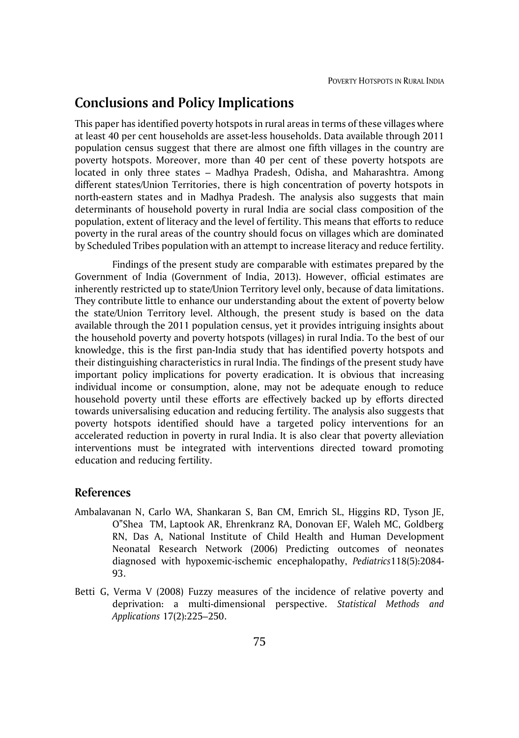# **Conclusions and Policy Implications**

This paper has identified poverty hotspots in rural areas in terms of these villages where at least 40 per cent households are asset-less households. Data available through 2011 population census suggest that there are almost one fifth villages in the country are poverty hotspots. Moreover, more than 40 per cent of these poverty hotspots are located in only three states – Madhya Pradesh, Odisha, and Maharashtra. Among different states/Union Territories, there is high concentration of poverty hotspots in north-eastern states and in Madhya Pradesh. The analysis also suggests that main determinants of household poverty in rural India are social class composition of the population, extent of literacy and the level of fertility. This means that efforts to reduce poverty in the rural areas of the country should focus on villages which are dominated by Scheduled Tribes population with an attempt to increase literacy and reduce fertility.

Findings of the present study are comparable with estimates prepared by the Government of India (Government of India, 2013). However, official estimates are inherently restricted up to state/Union Territory level only, because of data limitations. They contribute little to enhance our understanding about the extent of poverty below the state/Union Territory level. Although, the present study is based on the data available through the 2011 population census, yet it provides intriguing insights about the household poverty and poverty hotspots (villages) in rural India. To the best of our knowledge, this is the first pan-India study that has identified poverty hotspots and their distinguishing characteristics in rural India. The findings of the present study have important policy implications for poverty eradication. It is obvious that increasing individual income or consumption, alone, may not be adequate enough to reduce household poverty until these efforts are effectively backed up by efforts directed towards universalising education and reducing fertility. The analysis also suggests that poverty hotspots identified should have a targeted policy interventions for an accelerated reduction in poverty in rural India. It is also clear that poverty alleviation interventions must be integrated with interventions directed toward promoting education and reducing fertility.

#### **References**

- Ambalavanan N, Carlo WA, Shankaran S, Ban CM, Emrich SL, Higgins RD, Tyson JE, O"Shea TM, Laptook AR, Ehrenkranz RA, Donovan EF, Waleh MC, Goldberg RN, Das A, National Institute of Child Health and Human Development Neonatal Research Network (2006) Predicting outcomes of neonates diagnosed with hypoxemic-ischemic encephalopathy, *Pediatrics*118(5):2084- 93.
- Betti G, Verma V (2008) Fuzzy measures of the incidence of relative poverty and deprivation: a multi-dimensional perspective. *Statistical Methods and Applications* 17(2):225–250.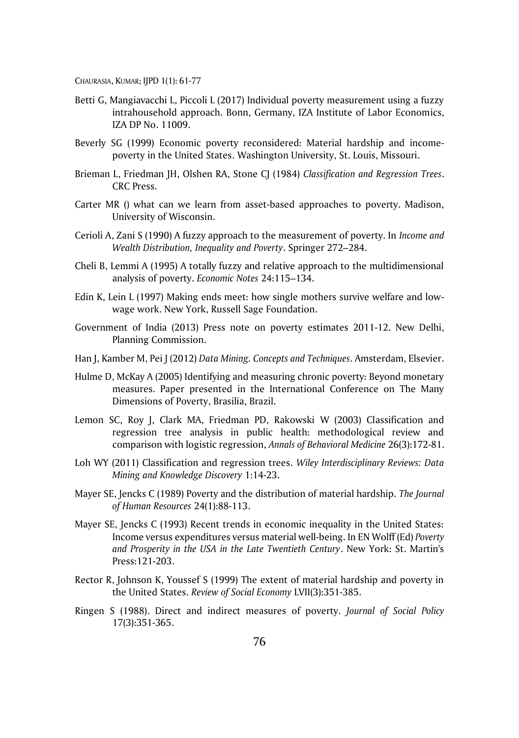- Betti G, Mangiavacchi L, Piccoli L (2017) Individual poverty measurement using a fuzzy intrahousehold approach. Bonn, Germany, IZA Institute of Labor Economics, IZA DP No. 11009.
- Beverly SG (1999) Economic poverty reconsidered: Material hardship and incomepoverty in the United States. Washington University, St. Louis, Missouri.
- Brieman L, Friedman JH, Olshen RA, Stone CJ (1984) *Classification and Regression Trees*. CRC Press.
- Carter MR () what can we learn from asset-based approaches to poverty. Madison, University of Wisconsin.
- Cerioli A, Zani S (1990) A fuzzy approach to the measurement of poverty. In *Income and Wealth Distribution, Inequality and Poverty*. Springer 272–284.
- Cheli B, Lemmi A (1995) A totally fuzzy and relative approach to the multidimensional analysis of poverty. *Economic Notes* 24:115–134.
- Edin K, Lein L (1997) Making ends meet: how single mothers survive welfare and lowwage work. New York, Russell Sage Foundation.
- Government of India (2013) Press note on poverty estimates 2011-12. New Delhi, Planning Commission.
- Han J, Kamber M, Pei J (2012) *Data Mining. Concepts and Techniques*. Amsterdam, Elsevier.
- Hulme D, McKay A (2005) Identifying and measuring chronic poverty: Beyond monetary measures. Paper presented in the International Conference on The Many Dimensions of Poverty, Brasilia, Brazil.
- Lemon SC, Roy J, Clark MA, Friedman PD, Rakowski W (2003) Classification and regression tree analysis in public health: methodological review and comparison with logistic regression, *Annals of Behavioral Medicine* 26(3):172-81.
- Loh WY (2011) Classification and regression trees. *Wiley Interdisciplinary Reviews: Data Mining and Knowledge Discovery* 1:14-23.
- Mayer SE, Jencks C (1989) Poverty and the distribution of material hardship. *The Journal of Human Resources* 24(1):88-113.
- Mayer SE, Jencks C (1993) Recent trends in economic inequality in the United States: Income versus expenditures versus material well-being. In EN Wolff (Ed) *Poverty and Prosperity in the USA in the Late Twentieth Century*. New York: St. Martin's Press:121-203.
- Rector R, Johnson K, Youssef S (1999) The extent of material hardship and poverty in the United States. *Review of Social Economy* LVII(3):351-385.
- Ringen S (1988). Direct and indirect measures of poverty. *Journal of Social Policy* 17(3):351-365.